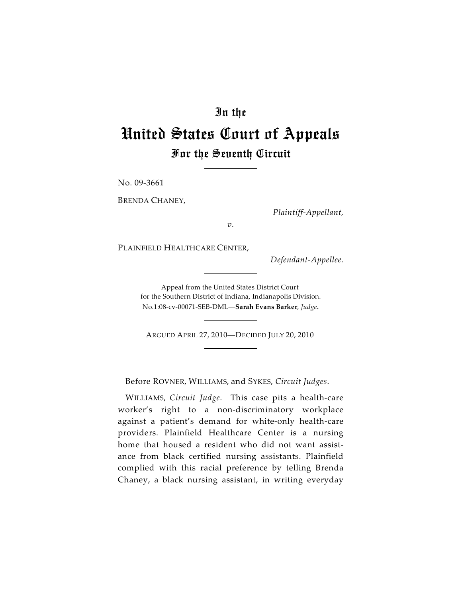# In the

# United States Court of Appeals For the Seventh Circuit

No. 09-3661

BRENDA CHANEY,

*Plaintiff-Appellant,*

*v.*

PLAINFIELD HEALTHCARE CENTER,

*Defendant-Appellee.*

Appeal from the United States District Court for the Southern District of Indiana, Indianapolis Division. No.1:08-cv-00071-SEB-DML—**Sarah Evans Barker***, Judge*.

ARGUED APRIL 27, 2010—DECIDED JULY 20, 2010

Before ROVNER, WILLIAMS, and SYKES, *Circuit Judges*.

WILLIAMS, *Circuit Judge*. This case pits a health-care worker's right to a non-discriminatory workplace against a patient's demand for white-only health-care providers. Plainfield Healthcare Center is a nursing home that housed a resident who did not want assistance from black certified nursing assistants. Plainfield complied with this racial preference by telling Brenda Chaney, a black nursing assistant, in writing everyday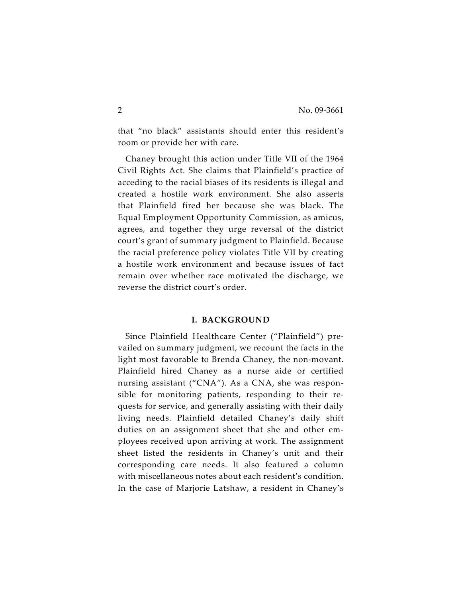that "no black" assistants should enter this resident's room or provide her with care.

Chaney brought this action under Title VII of the 1964 Civil Rights Act. She claims that Plainfield's practice of acceding to the racial biases of its residents is illegal and created a hostile work environment. She also asserts that Plainfield fired her because she was black. The Equal Employment Opportunity Commission, as amicus, agrees, and together they urge reversal of the district court's grant of summary judgment to Plainfield. Because the racial preference policy violates Title VII by creating a hostile work environment and because issues of fact remain over whether race motivated the discharge, we reverse the district court's order.

#### **I. BACKGROUND**

Since Plainfield Healthcare Center ("Plainfield") prevailed on summary judgment, we recount the facts in the light most favorable to Brenda Chaney, the non-movant. Plainfield hired Chaney as a nurse aide or certified nursing assistant ("CNA"). As a CNA, she was responsible for monitoring patients, responding to their requests for service, and generally assisting with their daily living needs. Plainfield detailed Chaney's daily shift duties on an assignment sheet that she and other employees received upon arriving at work. The assignment sheet listed the residents in Chaney's unit and their corresponding care needs. It also featured a column with miscellaneous notes about each resident's condition. In the case of Marjorie Latshaw, a resident in Chaney's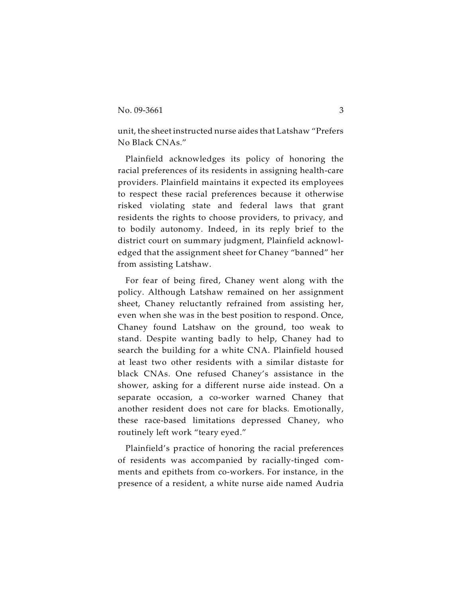unit, the sheet instructed nurse aides that Latshaw "Prefers No Black CNAs."

Plainfield acknowledges its policy of honoring the racial preferences of its residents in assigning health-care providers. Plainfield maintains it expected its employees to respect these racial preferences because it otherwise risked violating state and federal laws that grant residents the rights to choose providers, to privacy, and to bodily autonomy. Indeed, in its reply brief to the district court on summary judgment, Plainfield acknowledged that the assignment sheet for Chaney "banned" her from assisting Latshaw.

For fear of being fired, Chaney went along with the policy. Although Latshaw remained on her assignment sheet, Chaney reluctantly refrained from assisting her, even when she was in the best position to respond. Once, Chaney found Latshaw on the ground, too weak to stand. Despite wanting badly to help, Chaney had to search the building for a white CNA. Plainfield housed at least two other residents with a similar distaste for black CNAs. One refused Chaney's assistance in the shower, asking for a different nurse aide instead. On a separate occasion, a co-worker warned Chaney that another resident does not care for blacks. Emotionally, these race-based limitations depressed Chaney, who routinely left work "teary eyed."

Plainfield's practice of honoring the racial preferences of residents was accompanied by racially-tinged comments and epithets from co-workers. For instance, in the presence of a resident, a white nurse aide named Audria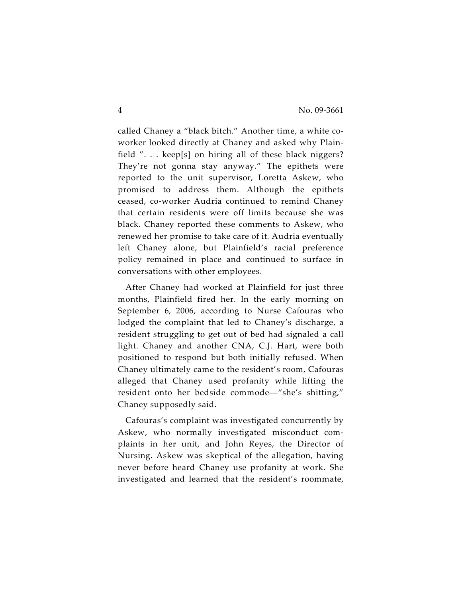called Chaney a "black bitch." Another time, a white coworker looked directly at Chaney and asked why Plainfield ". . . keep[s] on hiring all of these black niggers? They're not gonna stay anyway." The epithets were reported to the unit supervisor, Loretta Askew, who promised to address them. Although the epithets ceased, co-worker Audria continued to remind Chaney that certain residents were off limits because she was black. Chaney reported these comments to Askew, who renewed her promise to take care of it. Audria eventually left Chaney alone, but Plainfield's racial preference policy remained in place and continued to surface in conversations with other employees.

After Chaney had worked at Plainfield for just three months, Plainfield fired her. In the early morning on September 6, 2006, according to Nurse Cafouras who lodged the complaint that led to Chaney's discharge, a resident struggling to get out of bed had signaled a call light. Chaney and another CNA, C.J. Hart, were both positioned to respond but both initially refused. When Chaney ultimately came to the resident's room, Cafouras alleged that Chaney used profanity while lifting the resident onto her bedside commode—"she's shitting," Chaney supposedly said.

Cafouras's complaint was investigated concurrently by Askew, who normally investigated misconduct complaints in her unit, and John Reyes, the Director of Nursing. Askew was skeptical of the allegation, having never before heard Chaney use profanity at work. She investigated and learned that the resident's roommate,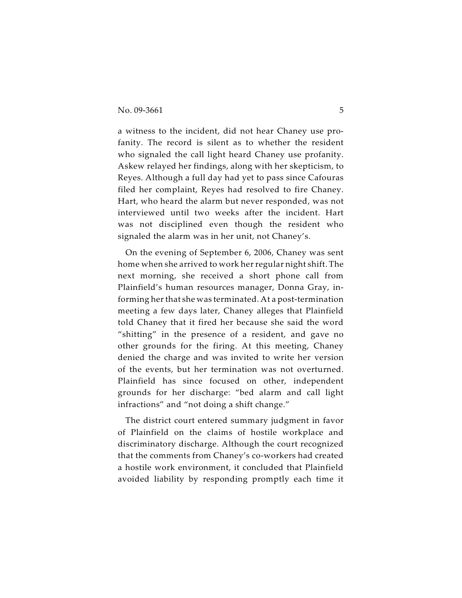a witness to the incident, did not hear Chaney use profanity. The record is silent as to whether the resident who signaled the call light heard Chaney use profanity. Askew relayed her findings, along with her skepticism, to Reyes. Although a full day had yet to pass since Cafouras filed her complaint, Reyes had resolved to fire Chaney. Hart, who heard the alarm but never responded, was not interviewed until two weeks after the incident. Hart was not disciplined even though the resident who signaled the alarm was in her unit, not Chaney's.

On the evening of September 6, 2006, Chaney was sent home when she arrived to work her regular night shift. The next morning, she received a short phone call from Plainfield's human resources manager, Donna Gray, informing her that she was terminated. At a post-termination meeting a few days later, Chaney alleges that Plainfield told Chaney that it fired her because she said the word "shitting" in the presence of a resident, and gave no other grounds for the firing. At this meeting, Chaney denied the charge and was invited to write her version of the events, but her termination was not overturned. Plainfield has since focused on other, independent grounds for her discharge: "bed alarm and call light infractions" and "not doing a shift change."

The district court entered summary judgment in favor of Plainfield on the claims of hostile workplace and discriminatory discharge. Although the court recognized that the comments from Chaney's co-workers had created a hostile work environment, it concluded that Plainfield avoided liability by responding promptly each time it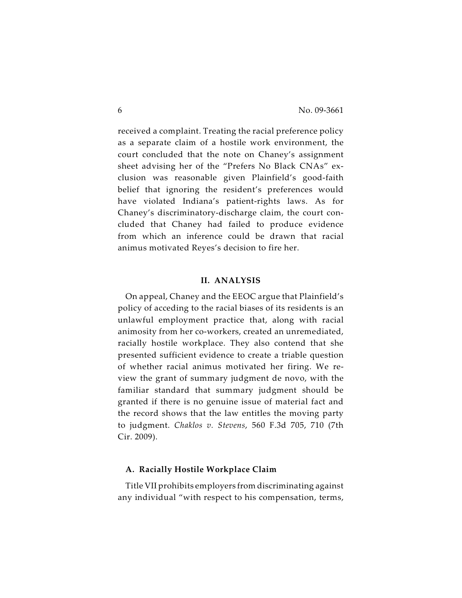received a complaint. Treating the racial preference policy as a separate claim of a hostile work environment, the court concluded that the note on Chaney's assignment sheet advising her of the "Prefers No Black CNAs" exclusion was reasonable given Plainfield's good-faith belief that ignoring the resident's preferences would have violated Indiana's patient-rights laws. As for Chaney's discriminatory-discharge claim, the court concluded that Chaney had failed to produce evidence from which an inference could be drawn that racial animus motivated Reyes's decision to fire her.

#### **II. ANALYSIS**

On appeal, Chaney and the EEOC argue that Plainfield's policy of acceding to the racial biases of its residents is an unlawful employment practice that, along with racial animosity from her co-workers, created an unremediated, racially hostile workplace. They also contend that she presented sufficient evidence to create a triable question of whether racial animus motivated her firing. We review the grant of summary judgment de novo, with the familiar standard that summary judgment should be granted if there is no genuine issue of material fact and the record shows that the law entitles the moving party to judgment. *Chaklos v. Stevens*, 560 F.3d 705, 710 (7th Cir. 2009).

### **A. Racially Hostile Workplace Claim**

Title VII prohibits employers from discriminating against any individual "with respect to his compensation, terms,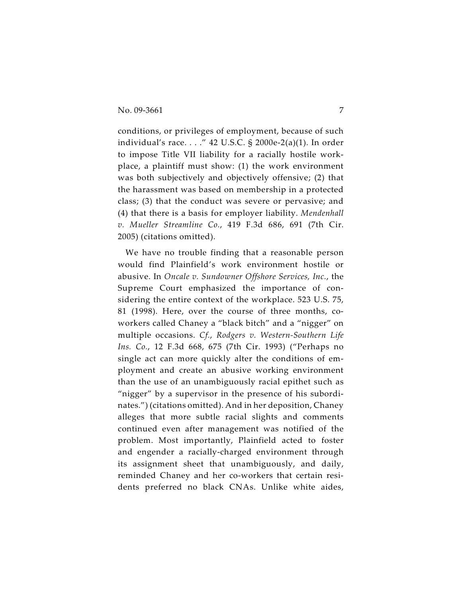conditions, or privileges of employment, because of such individual's race. . . ." 42 U.S.C. § 2000e-2(a)(1). In order to impose Title VII liability for a racially hostile workplace, a plaintiff must show: (1) the work environment was both subjectively and objectively offensive; (2) that the harassment was based on membership in a protected class; (3) that the conduct was severe or pervasive; and (4) that there is a basis for employer liability. *Mendenhall v. Mueller Streamline Co.*, 419 F.3d 686, 691 (7th Cir. 2005) (citations omitted).

We have no trouble finding that a reasonable person would find Plainfield's work environment hostile or abusive. In *Oncale v. Sundowner Offshore Services, Inc.*, the Supreme Court emphasized the importance of considering the entire context of the workplace. 523 U.S. 75, 81 (1998). Here, over the course of three months, coworkers called Chaney a "black bitch" and a "nigger" on multiple occasions. *Cf.*, *Rodgers v. Western-Southern Life Ins. Co.*, 12 F.3d 668, 675 (7th Cir. 1993) ("Perhaps no single act can more quickly alter the conditions of employment and create an abusive working environment than the use of an unambiguously racial epithet such as "nigger" by a supervisor in the presence of his subordinates.") (citations omitted). And in her deposition, Chaney alleges that more subtle racial slights and comments continued even after management was notified of the problem. Most importantly, Plainfield acted to foster and engender a racially-charged environment through its assignment sheet that unambiguously, and daily, reminded Chaney and her co-workers that certain residents preferred no black CNAs. Unlike white aides,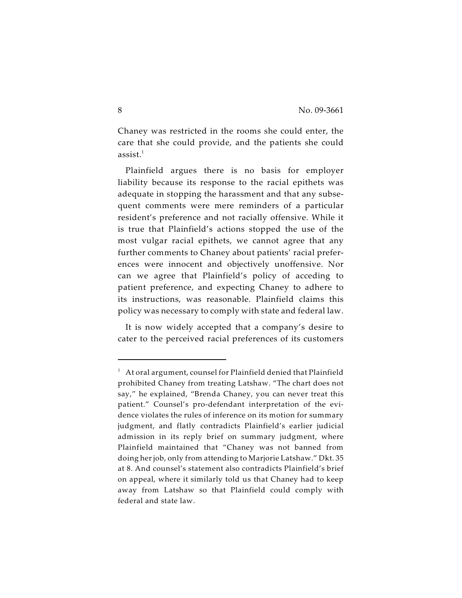Chaney was restricted in the rooms she could enter, the care that she could provide, and the patients she could assist. $^1$ 

Plainfield argues there is no basis for employer liability because its response to the racial epithets was adequate in stopping the harassment and that any subsequent comments were mere reminders of a particular resident's preference and not racially offensive. While it is true that Plainfield's actions stopped the use of the most vulgar racial epithets, we cannot agree that any further comments to Chaney about patients' racial preferences were innocent and objectively unoffensive. Nor can we agree that Plainfield's policy of acceding to patient preference, and expecting Chaney to adhere to its instructions, was reasonable. Plainfield claims this policy was necessary to comply with state and federal law.

It is now widely accepted that a company's desire to cater to the perceived racial preferences of its customers

 $1$  At oral argument, counsel for Plainfield denied that Plainfield prohibited Chaney from treating Latshaw. "The chart does not say," he explained, "Brenda Chaney, you can never treat this patient." Counsel's pro-defendant interpretation of the evidence violates the rules of inference on its motion for summary judgment, and flatly contradicts Plainfield's earlier judicial admission in its reply brief on summary judgment, where Plainfield maintained that "Chaney was not banned from doing her job, only from attending to Marjorie Latshaw." Dkt. 35 at 8. And counsel's statement also contradicts Plainfield's brief on appeal, where it similarly told us that Chaney had to keep away from Latshaw so that Plainfield could comply with federal and state law.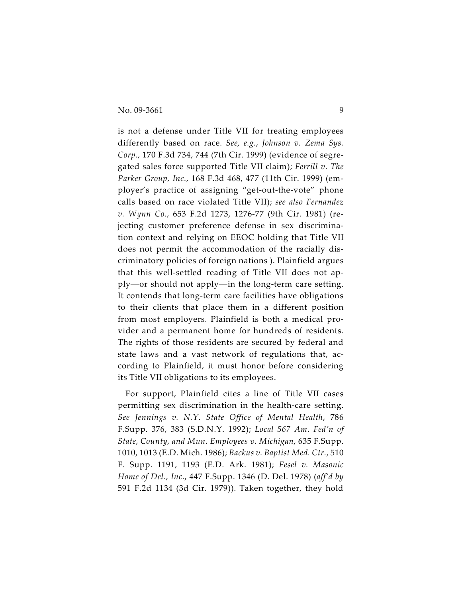is not a defense under Title VII for treating employees differently based on race. *See, e.g.*, *Johnson v. Zema Sys. Corp.*, 170 F.3d 734, 744 (7th Cir. 1999) (evidence of segregated sales force supported Title VII claim); *Ferrill v. The Parker Group, Inc.*, 168 F.3d 468, 477 (11th Cir. 1999) (employer's practice of assigning "get-out-the-vote" phone calls based on race violated Title VII); *see also Fernandez v. Wynn Co.*, 653 F.2d 1273, 1276-77 (9th Cir. 1981) (rejecting customer preference defense in sex discrimination context and relying on EEOC holding that Title VII does not permit the accommodation of the racially discriminatory policies of foreign nations ). Plainfield argues that this well-settled reading of Title VII does not apply—or should not apply—in the long-term care setting. It contends that long-term care facilities have obligations to their clients that place them in a different position from most employers. Plainfield is both a medical provider and a permanent home for hundreds of residents. The rights of those residents are secured by federal and state laws and a vast network of regulations that, according to Plainfield, it must honor before considering its Title VII obligations to its employees.

For support, Plainfield cites a line of Title VII cases permitting sex discrimination in the health-care setting. *See Jennings v. N.Y. State Office of Mental Health*, 786 F.Supp. 376, 383 (S.D.N.Y. 1992); *Local 567 Am. Fed'n of State, County, and Mun. Employees v. Michigan*, 635 F.Supp. 1010, 1013 (E.D. Mich. 1986); *Backus v. Baptist Med. Ctr.*, 510 F. Supp. 1191, 1193 (E.D. Ark. 1981); *Fesel v. Masonic Home of Del., Inc.*, 447 F.Supp. 1346 (D. Del. 1978) (*aff'd by* 591 F.2d 1134 (3d Cir. 1979)). Taken together, they hold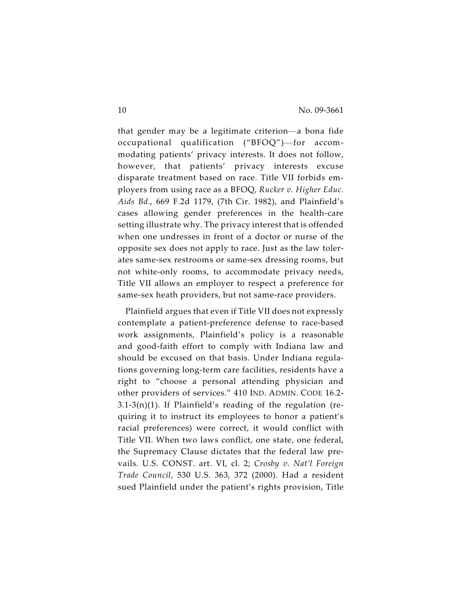that gender may be a legitimate criterion—a bona fide occupational qualification ("BFOQ")—for accommodating patients' privacy interests. It does not follow, however, that patients' privacy interests excuse disparate treatment based on race. Title VII forbids employers from using race as a BFOQ, *Rucker v. Higher Educ. Aids Bd.*, 669 F.2d 1179, (7th Cir. 1982), and Plainfield's cases allowing gender preferences in the health-care setting illustrate why. The privacy interest that is offended when one undresses in front of a doctor or nurse of the opposite sex does not apply to race. Just as the law tolerates same-sex restrooms or same-sex dressing rooms, but not white-only rooms, to accommodate privacy needs, Title VII allows an employer to respect a preference for same-sex heath providers, but not same-race providers.

Plainfield argues that even if Title VII does not expressly contemplate a patient-preference defense to race-based work assignments, Plainfield's policy is a reasonable and good-faith effort to comply with Indiana law and should be excused on that basis. Under Indiana regulations governing long-term care facilities, residents have a right to "choose a personal attending physician and other providers of services." 410 IND. ADMIN. CODE 16.2- 3.1-3(n)(1). If Plainfield's reading of the regulation (requiring it to instruct its employees to honor a patient's racial preferences) were correct, it would conflict with Title VII. When two laws conflict, one state, one federal, the Supremacy Clause dictates that the federal law prevails. U.S. CONST. art. VI, cl. 2; *Crosby v. Nat'l Foreign Trade Council*, 530 U.S. 363, 372 (2000). Had a resident sued Plainfield under the patient's rights provision, Title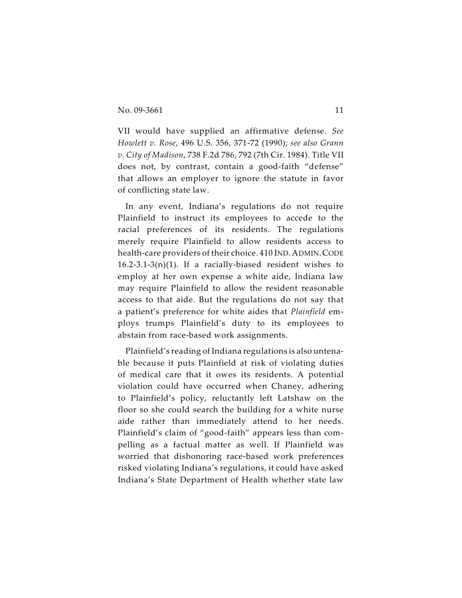VII would have supplied an affirmative defense. *See Howlett v. Rose*, 496 U.S. 356, 371-72 (1990); *see also Grann v. City of Madison*, 738 F.2d 786, 792 (7th Cir. 1984). Title VII does not, by contrast, contain a good-faith "defense" that allows an employer to ignore the statute in favor of conflicting state law.

In any event, Indiana's regulations do not require Plainfield to instruct its employees to accede to the racial preferences of its residents. The regulations merely require Plainfield to allow residents access to health-care providers of their choice. 410 IND.ADMIN.CODE  $16.2-3.1-3(n)(1)$ . If a racially-biased resident wishes to employ at her own expense a white aide, Indiana law may require Plainfield to allow the resident reasonable access to that aide. But the regulations do not say that a patient's preference for white aides that *Plainfield* employs trumps Plainfield's duty to its employees to abstain from race-based work assignments.

Plainfield's reading of Indiana regulations is also untenable because it puts Plainfield at risk of violating duties of medical care that it owes its residents. A potential violation could have occurred when Chaney, adhering to Plainfield's policy, reluctantly left Latshaw on the floor so she could search the building for a white nurse aide rather than immediately attend to her needs. Plainfield's claim of "good-faith" appears less than compelling as a factual matter as well. If Plainfield was worried that dishonoring race-based work preferences risked violating Indiana's regulations, it could have asked Indiana's State Department of Health whether state law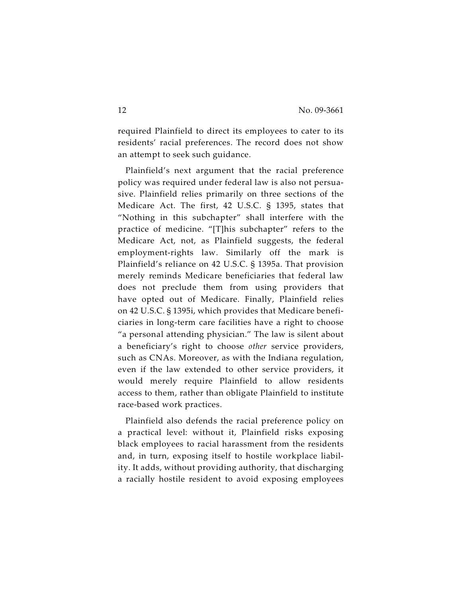required Plainfield to direct its employees to cater to its residents' racial preferences. The record does not show an attempt to seek such guidance.

Plainfield's next argument that the racial preference policy was required under federal law is also not persuasive. Plainfield relies primarily on three sections of the Medicare Act. The first, 42 U.S.C. § 1395, states that "Nothing in this subchapter" shall interfere with the practice of medicine. "[T]his subchapter" refers to the Medicare Act, not, as Plainfield suggests, the federal employment-rights law. Similarly off the mark is Plainfield's reliance on 42 U.S.C. § 1395a. That provision merely reminds Medicare beneficiaries that federal law does not preclude them from using providers that have opted out of Medicare. Finally, Plainfield relies on 42 U.S.C. § 1395i, which provides that Medicare beneficiaries in long-term care facilities have a right to choose "a personal attending physician." The law is silent about a beneficiary's right to choose *other* service providers, such as CNAs. Moreover, as with the Indiana regulation, even if the law extended to other service providers, it would merely require Plainfield to allow residents access to them, rather than obligate Plainfield to institute race-based work practices.

Plainfield also defends the racial preference policy on a practical level: without it, Plainfield risks exposing black employees to racial harassment from the residents and, in turn, exposing itself to hostile workplace liability. It adds, without providing authority, that discharging a racially hostile resident to avoid exposing employees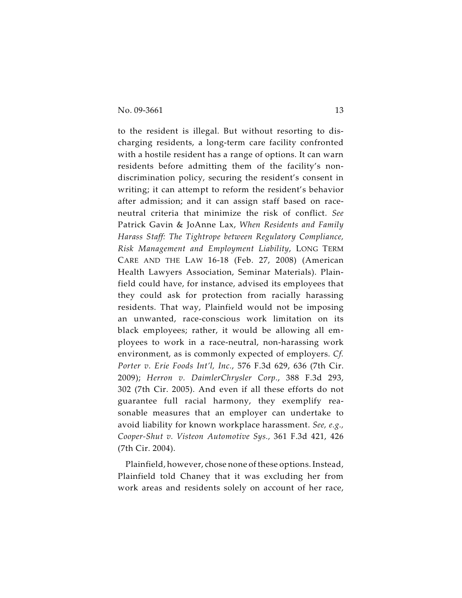to the resident is illegal. But without resorting to discharging residents, a long-term care facility confronted with a hostile resident has a range of options. It can warn residents before admitting them of the facility's nondiscrimination policy, securing the resident's consent in writing; it can attempt to reform the resident's behavior after admission; and it can assign staff based on raceneutral criteria that minimize the risk of conflict. *See* Patrick Gavin & JoAnne Lax, *When Residents and Family Harass Staff: The Tightrope between Regulatory Compliance, Risk Management and Employment Liability*, LONG TERM CARE AND THE LAW 16-18 (Feb. 27, 2008) (American Health Lawyers Association, Seminar Materials). Plainfield could have, for instance, advised its employees that they could ask for protection from racially harassing residents. That way, Plainfield would not be imposing an unwanted, race-conscious work limitation on its black employees; rather, it would be allowing all employees to work in a race-neutral, non-harassing work environment, as is commonly expected of employers. *Cf. Porter v. Erie Foods Int'l, Inc.*, 576 F.3d 629, 636 (7th Cir. 2009); *Herron v. DaimlerChrysler Corp.*, 388 F.3d 293, 302 (7th Cir. 2005). And even if all these efforts do not guarantee full racial harmony, they exemplify reasonable measures that an employer can undertake to avoid liability for known workplace harassment. *See, e.g., Cooper-Shut v. Visteon Automotive Sys.,* 361 F.3d 421, 426 (7th Cir. 2004).

Plainfield, however, chose none of these options. Instead, Plainfield told Chaney that it was excluding her from work areas and residents solely on account of her race,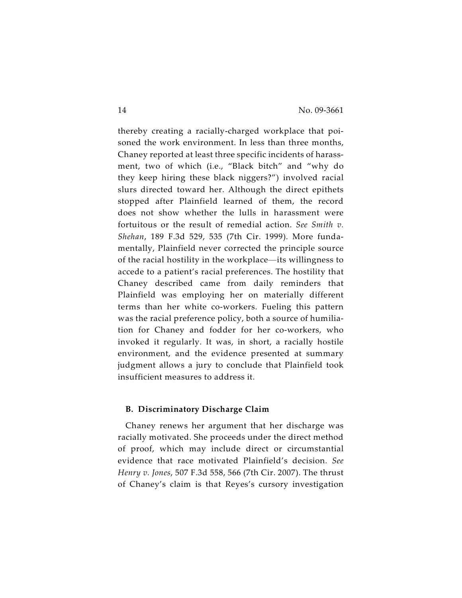thereby creating a racially-charged workplace that poisoned the work environment. In less than three months, Chaney reported at least three specific incidents of harassment, two of which (i.e., "Black bitch" and "why do they keep hiring these black niggers?") involved racial slurs directed toward her. Although the direct epithets stopped after Plainfield learned of them, the record does not show whether the lulls in harassment were fortuitous or the result of remedial action. *See Smith v. Shehan*, 189 F.3d 529, 535 (7th Cir. 1999). More fundamentally, Plainfield never corrected the principle source of the racial hostility in the workplace—its willingness to accede to a patient's racial preferences. The hostility that Chaney described came from daily reminders that Plainfield was employing her on materially different terms than her white co-workers. Fueling this pattern was the racial preference policy, both a source of humiliation for Chaney and fodder for her co-workers, who invoked it regularly. It was, in short, a racially hostile environment, and the evidence presented at summary judgment allows a jury to conclude that Plainfield took insufficient measures to address it.

#### **B. Discriminatory Discharge Claim**

Chaney renews her argument that her discharge was racially motivated. She proceeds under the direct method of proof, which may include direct or circumstantial evidence that race motivated Plainfield's decision. *See Henry v. Jones*, 507 F.3d 558, 566 (7th Cir. 2007). The thrust of Chaney's claim is that Reyes's cursory investigation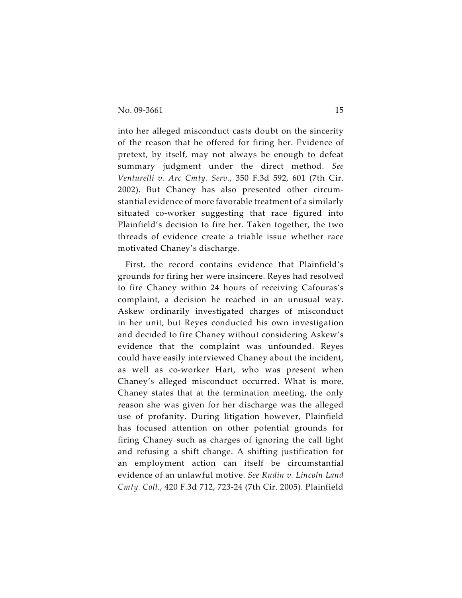into her alleged misconduct casts doubt on the sincerity of the reason that he offered for firing her. Evidence of pretext, by itself, may not always be enough to defeat summary judgment under the direct method. *See Venturelli v. Arc Cmty. Serv.*, 350 F.3d 592, 601 (7th Cir. 2002). But Chaney has also presented other circumstantial evidence of more favorable treatment of a similarly situated co-worker suggesting that race figured into Plainfield's decision to fire her. Taken together, the two threads of evidence create a triable issue whether race motivated Chaney's discharge.

First, the record contains evidence that Plainfield's grounds for firing her were insincere. Reyes had resolved to fire Chaney within 24 hours of receiving Cafouras's complaint, a decision he reached in an unusual way. Askew ordinarily investigated charges of misconduct in her unit, but Reyes conducted his own investigation and decided to fire Chaney without considering Askew's evidence that the complaint was unfounded. Reyes could have easily interviewed Chaney about the incident, as well as co-worker Hart, who was present when Chaney's alleged misconduct occurred. What is more, Chaney states that at the termination meeting, the only reason she was given for her discharge was the alleged use of profanity. During litigation however, Plainfield has focused attention on other potential grounds for firing Chaney such as charges of ignoring the call light and refusing a shift change. A shifting justification for an employment action can itself be circumstantial evidence of an unlawful motive. *See Rudin v. Lincoln Land Cmty. Coll.*, 420 F.3d 712, 723-24 (7th Cir. 2005). Plainfield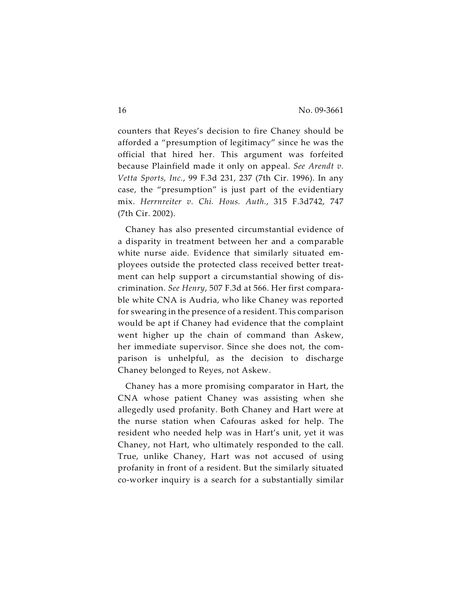counters that Reyes's decision to fire Chaney should be afforded a "presumption of legitimacy" since he was the official that hired her. This argument was forfeited because Plainfield made it only on appeal. *See Arendt v. Vetta Sports, Inc.*, 99 F.3d 231, 237 (7th Cir. 1996). In any case, the "presumption" is just part of the evidentiary mix. *Herrnreiter v. Chi. Hous. Auth.*, 315 F.3d742, 747 (7th Cir. 2002).

Chaney has also presented circumstantial evidence of a disparity in treatment between her and a comparable white nurse aide. Evidence that similarly situated employees outside the protected class received better treatment can help support a circumstantial showing of discrimination. *See Henry*, 507 F.3d at 566. Her first comparable white CNA is Audria, who like Chaney was reported for swearing in the presence of a resident. This comparison would be apt if Chaney had evidence that the complaint went higher up the chain of command than Askew, her immediate supervisor. Since she does not, the comparison is unhelpful, as the decision to discharge Chaney belonged to Reyes, not Askew.

Chaney has a more promising comparator in Hart, the CNA whose patient Chaney was assisting when she allegedly used profanity. Both Chaney and Hart were at the nurse station when Cafouras asked for help. The resident who needed help was in Hart's unit, yet it was Chaney, not Hart, who ultimately responded to the call. True, unlike Chaney, Hart was not accused of using profanity in front of a resident. But the similarly situated co-worker inquiry is a search for a substantially similar